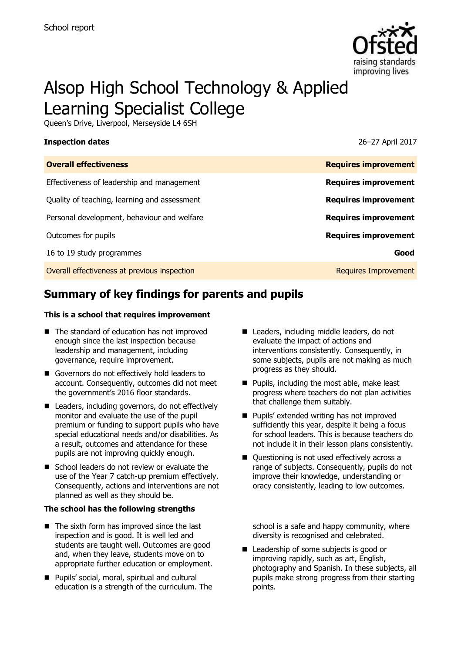

# Alsop High School Technology & Applied Learning Specialist College

Queen's Drive, Liverpool, Merseyside L4 6SH

#### **Inspection dates** 26–27 April 2017

| <b>Overall effectiveness</b>                 | <b>Requires improvement</b> |
|----------------------------------------------|-----------------------------|
| Effectiveness of leadership and management   | <b>Requires improvement</b> |
| Quality of teaching, learning and assessment | <b>Requires improvement</b> |
| Personal development, behaviour and welfare  | <b>Requires improvement</b> |
| Outcomes for pupils                          | <b>Requires improvement</b> |
| 16 to 19 study programmes                    | Good                        |
| Overall effectiveness at previous inspection | <b>Requires Improvement</b> |
|                                              |                             |

# **Summary of key findings for parents and pupils**

#### **This is a school that requires improvement**

- The standard of education has not improved enough since the last inspection because leadership and management, including governance, require improvement.
- Governors do not effectively hold leaders to account. Consequently, outcomes did not meet the government's 2016 floor standards.
- Leaders, including governors, do not effectively monitor and evaluate the use of the pupil premium or funding to support pupils who have special educational needs and/or disabilities. As a result, outcomes and attendance for these pupils are not improving quickly enough.
- School leaders do not review or evaluate the use of the Year 7 catch-up premium effectively. Consequently, actions and interventions are not planned as well as they should be.

#### **The school has the following strengths**

- $\blacksquare$  The sixth form has improved since the last inspection and is good. It is well led and students are taught well. Outcomes are good and, when they leave, students move on to appropriate further education or employment.
- Pupils' social, moral, spiritual and cultural education is a strength of the curriculum. The
- Leaders, including middle leaders, do not evaluate the impact of actions and interventions consistently. Consequently, in some subjects, pupils are not making as much progress as they should.
- **Pupils, including the most able, make least** progress where teachers do not plan activities that challenge them suitably.
- **Pupils' extended writing has not improved** sufficiently this year, despite it being a focus for school leaders. This is because teachers do not include it in their lesson plans consistently.
- Ouestioning is not used effectively across a range of subjects. Consequently, pupils do not improve their knowledge, understanding or oracy consistently, leading to low outcomes.

school is a safe and happy community, where diversity is recognised and celebrated.

■ Leadership of some subjects is good or improving rapidly, such as art, English, photography and Spanish. In these subjects, all pupils make strong progress from their starting points.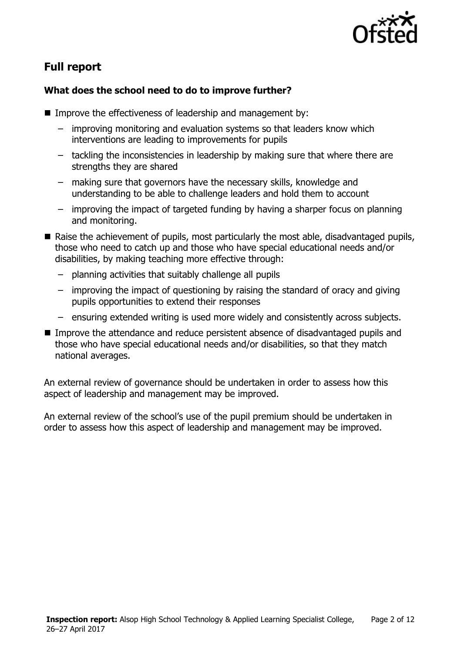

# **Full report**

### **What does the school need to do to improve further?**

- Improve the effectiveness of leadership and management by:
	- improving monitoring and evaluation systems so that leaders know which interventions are leading to improvements for pupils
	- tackling the inconsistencies in leadership by making sure that where there are strengths they are shared
	- making sure that governors have the necessary skills, knowledge and understanding to be able to challenge leaders and hold them to account
	- improving the impact of targeted funding by having a sharper focus on planning and monitoring.
- Raise the achievement of pupils, most particularly the most able, disadvantaged pupils, those who need to catch up and those who have special educational needs and/or disabilities, by making teaching more effective through:
	- planning activities that suitably challenge all pupils
	- improving the impact of questioning by raising the standard of oracy and giving pupils opportunities to extend their responses
	- ensuring extended writing is used more widely and consistently across subjects.
- **Improve the attendance and reduce persistent absence of disadvantaged pupils and** those who have special educational needs and/or disabilities, so that they match national averages.

An external review of governance should be undertaken in order to assess how this aspect of leadership and management may be improved.

An external review of the school's use of the pupil premium should be undertaken in order to assess how this aspect of leadership and management may be improved.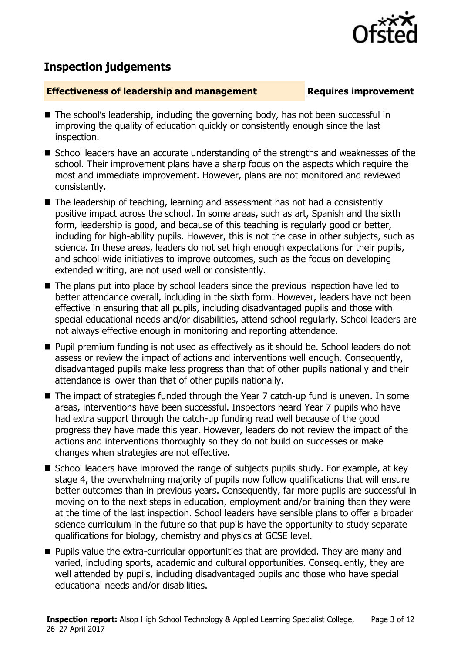

# **Inspection judgements**

#### **Effectiveness of leadership and management Requires improvement**

- The school's leadership, including the governing body, has not been successful in improving the quality of education quickly or consistently enough since the last inspection.
- School leaders have an accurate understanding of the strengths and weaknesses of the school. Their improvement plans have a sharp focus on the aspects which require the most and immediate improvement. However, plans are not monitored and reviewed consistently.
- The leadership of teaching, learning and assessment has not had a consistently positive impact across the school. In some areas, such as art, Spanish and the sixth form, leadership is good, and because of this teaching is regularly good or better, including for high-ability pupils. However, this is not the case in other subjects, such as science. In these areas, leaders do not set high enough expectations for their pupils, and school-wide initiatives to improve outcomes, such as the focus on developing extended writing, are not used well or consistently.
- The plans put into place by school leaders since the previous inspection have led to better attendance overall, including in the sixth form. However, leaders have not been effective in ensuring that all pupils, including disadvantaged pupils and those with special educational needs and/or disabilities, attend school regularly. School leaders are not always effective enough in monitoring and reporting attendance.
- Pupil premium funding is not used as effectively as it should be. School leaders do not assess or review the impact of actions and interventions well enough. Consequently, disadvantaged pupils make less progress than that of other pupils nationally and their attendance is lower than that of other pupils nationally.
- The impact of strategies funded through the Year 7 catch-up fund is uneven. In some areas, interventions have been successful. Inspectors heard Year 7 pupils who have had extra support through the catch-up funding read well because of the good progress they have made this year. However, leaders do not review the impact of the actions and interventions thoroughly so they do not build on successes or make changes when strategies are not effective.
- School leaders have improved the range of subjects pupils study. For example, at key stage 4, the overwhelming majority of pupils now follow qualifications that will ensure better outcomes than in previous years. Consequently, far more pupils are successful in moving on to the next steps in education, employment and/or training than they were at the time of the last inspection. School leaders have sensible plans to offer a broader science curriculum in the future so that pupils have the opportunity to study separate qualifications for biology, chemistry and physics at GCSE level.
- **Pupils value the extra-curricular opportunities that are provided. They are many and** varied, including sports, academic and cultural opportunities. Consequently, they are well attended by pupils, including disadvantaged pupils and those who have special educational needs and/or disabilities.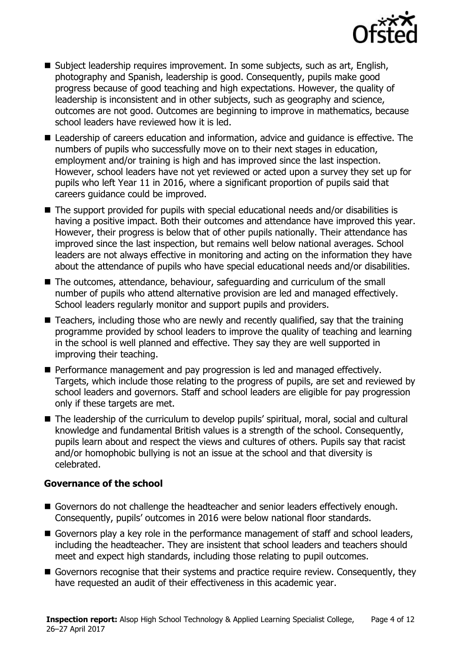

- Subject leadership requires improvement. In some subjects, such as art, English, photography and Spanish, leadership is good. Consequently, pupils make good progress because of good teaching and high expectations. However, the quality of leadership is inconsistent and in other subjects, such as geography and science, outcomes are not good. Outcomes are beginning to improve in mathematics, because school leaders have reviewed how it is led.
- Leadership of careers education and information, advice and quidance is effective. The numbers of pupils who successfully move on to their next stages in education, employment and/or training is high and has improved since the last inspection. However, school leaders have not yet reviewed or acted upon a survey they set up for pupils who left Year 11 in 2016, where a significant proportion of pupils said that careers guidance could be improved.
- The support provided for pupils with special educational needs and/or disabilities is having a positive impact. Both their outcomes and attendance have improved this year. However, their progress is below that of other pupils nationally. Their attendance has improved since the last inspection, but remains well below national averages. School leaders are not always effective in monitoring and acting on the information they have about the attendance of pupils who have special educational needs and/or disabilities.
- The outcomes, attendance, behaviour, safeguarding and curriculum of the small number of pupils who attend alternative provision are led and managed effectively. School leaders regularly monitor and support pupils and providers.
- $\blacksquare$  Teachers, including those who are newly and recently qualified, say that the training programme provided by school leaders to improve the quality of teaching and learning in the school is well planned and effective. They say they are well supported in improving their teaching.
- **Performance management and pay progression is led and managed effectively.** Targets, which include those relating to the progress of pupils, are set and reviewed by school leaders and governors. Staff and school leaders are eligible for pay progression only if these targets are met.
- The leadership of the curriculum to develop pupils' spiritual, moral, social and cultural knowledge and fundamental British values is a strength of the school. Consequently, pupils learn about and respect the views and cultures of others. Pupils say that racist and/or homophobic bullying is not an issue at the school and that diversity is celebrated.

### **Governance of the school**

- Governors do not challenge the headteacher and senior leaders effectively enough. Consequently, pupils' outcomes in 2016 were below national floor standards.
- Governors play a key role in the performance management of staff and school leaders, including the headteacher. They are insistent that school leaders and teachers should meet and expect high standards, including those relating to pupil outcomes.
- Governors recognise that their systems and practice require review. Consequently, they have requested an audit of their effectiveness in this academic year.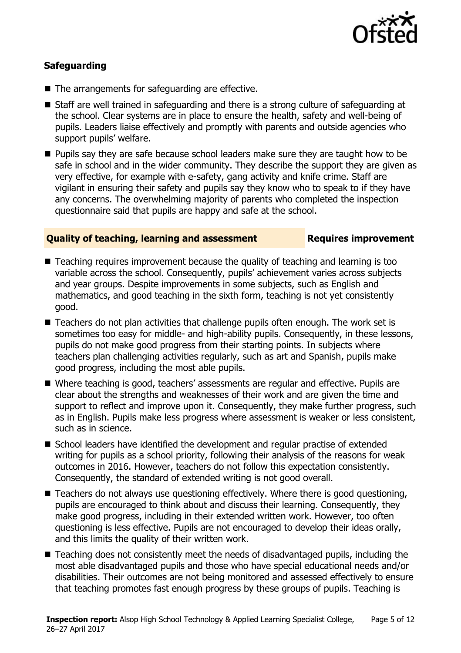

### **Safeguarding**

- The arrangements for safeguarding are effective.
- Staff are well trained in safeguarding and there is a strong culture of safeguarding at the school. Clear systems are in place to ensure the health, safety and well-being of pupils. Leaders liaise effectively and promptly with parents and outside agencies who support pupils' welfare.
- **Pupils say they are safe because school leaders make sure they are taught how to be** safe in school and in the wider community. They describe the support they are given as very effective, for example with e-safety, gang activity and knife crime. Staff are vigilant in ensuring their safety and pupils say they know who to speak to if they have any concerns. The overwhelming majority of parents who completed the inspection questionnaire said that pupils are happy and safe at the school.

#### **Quality of teaching, learning and assessment France Requires improvement**

- Teaching requires improvement because the quality of teaching and learning is too variable across the school. Consequently, pupils' achievement varies across subjects and year groups. Despite improvements in some subjects, such as English and mathematics, and good teaching in the sixth form, teaching is not yet consistently good.
- Teachers do not plan activities that challenge pupils often enough. The work set is sometimes too easy for middle- and high-ability pupils. Consequently, in these lessons, pupils do not make good progress from their starting points. In subjects where teachers plan challenging activities regularly, such as art and Spanish, pupils make good progress, including the most able pupils.
- Where teaching is good, teachers' assessments are regular and effective. Pupils are clear about the strengths and weaknesses of their work and are given the time and support to reflect and improve upon it. Consequently, they make further progress, such as in English. Pupils make less progress where assessment is weaker or less consistent, such as in science.
- School leaders have identified the development and regular practise of extended writing for pupils as a school priority, following their analysis of the reasons for weak outcomes in 2016. However, teachers do not follow this expectation consistently. Consequently, the standard of extended writing is not good overall.
- Teachers do not always use questioning effectively. Where there is good questioning, pupils are encouraged to think about and discuss their learning. Consequently, they make good progress, including in their extended written work. However, too often questioning is less effective. Pupils are not encouraged to develop their ideas orally, and this limits the quality of their written work.
- Teaching does not consistently meet the needs of disadvantaged pupils, including the most able disadvantaged pupils and those who have special educational needs and/or disabilities. Their outcomes are not being monitored and assessed effectively to ensure that teaching promotes fast enough progress by these groups of pupils. Teaching is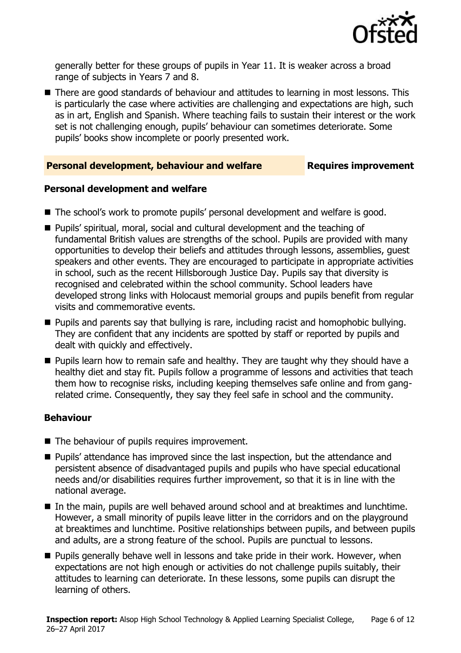

generally better for these groups of pupils in Year 11. It is weaker across a broad range of subjects in Years 7 and 8.

■ There are good standards of behaviour and attitudes to learning in most lessons. This is particularly the case where activities are challenging and expectations are high, such as in art, English and Spanish. Where teaching fails to sustain their interest or the work set is not challenging enough, pupils' behaviour can sometimes deteriorate. Some pupils' books show incomplete or poorly presented work.

#### **Personal development, behaviour and welfare Fig. 2.1 Requires improvement**

### **Personal development and welfare**

- The school's work to promote pupils' personal development and welfare is good.
- **Pupils' spiritual, moral, social and cultural development and the teaching of** fundamental British values are strengths of the school. Pupils are provided with many opportunities to develop their beliefs and attitudes through lessons, assemblies, guest speakers and other events. They are encouraged to participate in appropriate activities in school, such as the recent Hillsborough Justice Day. Pupils say that diversity is recognised and celebrated within the school community. School leaders have developed strong links with Holocaust memorial groups and pupils benefit from regular visits and commemorative events.
- **Pupils and parents say that bullying is rare, including racist and homophobic bullying.** They are confident that any incidents are spotted by staff or reported by pupils and dealt with quickly and effectively.
- **Pupils learn how to remain safe and healthy. They are taught why they should have a** healthy diet and stay fit. Pupils follow a programme of lessons and activities that teach them how to recognise risks, including keeping themselves safe online and from gangrelated crime. Consequently, they say they feel safe in school and the community.

### **Behaviour**

- The behaviour of pupils requires improvement.
- Pupils' attendance has improved since the last inspection, but the attendance and persistent absence of disadvantaged pupils and pupils who have special educational needs and/or disabilities requires further improvement, so that it is in line with the national average.
- In the main, pupils are well behaved around school and at breaktimes and lunchtime. However, a small minority of pupils leave litter in the corridors and on the playground at breaktimes and lunchtime. Positive relationships between pupils, and between pupils and adults, are a strong feature of the school. Pupils are punctual to lessons.
- **Pupils generally behave well in lessons and take pride in their work. However, when** expectations are not high enough or activities do not challenge pupils suitably, their attitudes to learning can deteriorate. In these lessons, some pupils can disrupt the learning of others.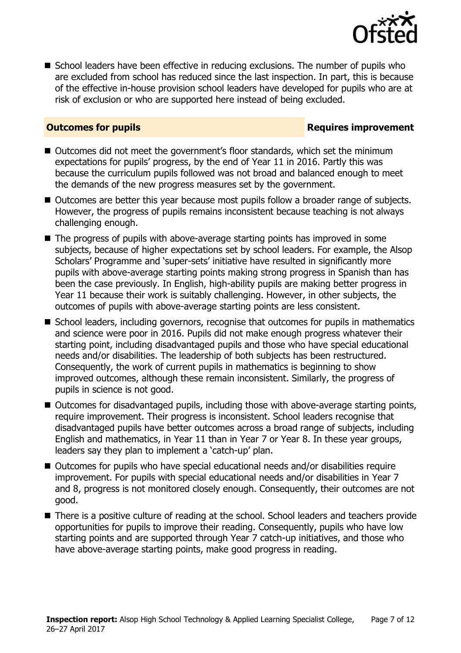

 $\blacksquare$  School leaders have been effective in reducing exclusions. The number of pupils who are excluded from school has reduced since the last inspection. In part, this is because of the effective in-house provision school leaders have developed for pupils who are at risk of exclusion or who are supported here instead of being excluded.

### **Outcomes for pupils Requires improvement**

- Outcomes did not meet the government's floor standards, which set the minimum expectations for pupils' progress, by the end of Year 11 in 2016. Partly this was because the curriculum pupils followed was not broad and balanced enough to meet the demands of the new progress measures set by the government.
- Outcomes are better this year because most pupils follow a broader range of subjects. However, the progress of pupils remains inconsistent because teaching is not always challenging enough.
- The progress of pupils with above-average starting points has improved in some subjects, because of higher expectations set by school leaders. For example, the Alsop Scholars' Programme and 'super-sets' initiative have resulted in significantly more pupils with above-average starting points making strong progress in Spanish than has been the case previously. In English, high-ability pupils are making better progress in Year 11 because their work is suitably challenging. However, in other subjects, the outcomes of pupils with above-average starting points are less consistent.
- School leaders, including governors, recognise that outcomes for pupils in mathematics and science were poor in 2016. Pupils did not make enough progress whatever their starting point, including disadvantaged pupils and those who have special educational needs and/or disabilities. The leadership of both subjects has been restructured. Consequently, the work of current pupils in mathematics is beginning to show improved outcomes, although these remain inconsistent. Similarly, the progress of pupils in science is not good.
- Outcomes for disadvantaged pupils, including those with above-average starting points, require improvement. Their progress is inconsistent. School leaders recognise that disadvantaged pupils have better outcomes across a broad range of subjects, including English and mathematics, in Year 11 than in Year 7 or Year 8. In these year groups, leaders say they plan to implement a 'catch-up' plan.
- Outcomes for pupils who have special educational needs and/or disabilities require improvement. For pupils with special educational needs and/or disabilities in Year 7 and 8, progress is not monitored closely enough. Consequently, their outcomes are not good.
- There is a positive culture of reading at the school. School leaders and teachers provide opportunities for pupils to improve their reading. Consequently, pupils who have low starting points and are supported through Year 7 catch-up initiatives, and those who have above-average starting points, make good progress in reading.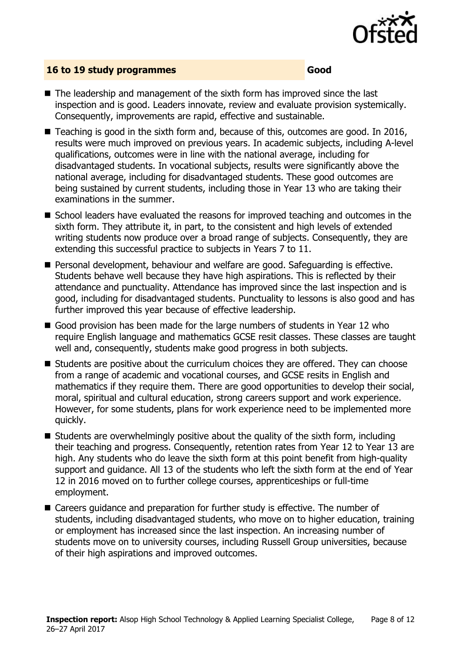

#### **16 to 19 study programmes Good**

- The leadership and management of the sixth form has improved since the last inspection and is good. Leaders innovate, review and evaluate provision systemically. Consequently, improvements are rapid, effective and sustainable.
- Teaching is good in the sixth form and, because of this, outcomes are good. In 2016, results were much improved on previous years. In academic subjects, including A-level qualifications, outcomes were in line with the national average, including for disadvantaged students. In vocational subjects, results were significantly above the national average, including for disadvantaged students. These good outcomes are being sustained by current students, including those in Year 13 who are taking their examinations in the summer.
- School leaders have evaluated the reasons for improved teaching and outcomes in the sixth form. They attribute it, in part, to the consistent and high levels of extended writing students now produce over a broad range of subjects. Consequently, they are extending this successful practice to subjects in Years 7 to 11.
- **Personal development, behaviour and welfare are good. Safeguarding is effective.** Students behave well because they have high aspirations. This is reflected by their attendance and punctuality. Attendance has improved since the last inspection and is good, including for disadvantaged students. Punctuality to lessons is also good and has further improved this year because of effective leadership.
- Good provision has been made for the large numbers of students in Year 12 who require English language and mathematics GCSE resit classes. These classes are taught well and, consequently, students make good progress in both subjects.
- Students are positive about the curriculum choices they are offered. They can choose from a range of academic and vocational courses, and GCSE resits in English and mathematics if they require them. There are good opportunities to develop their social, moral, spiritual and cultural education, strong careers support and work experience. However, for some students, plans for work experience need to be implemented more quickly.
- $\blacksquare$  Students are overwhelmingly positive about the quality of the sixth form, including their teaching and progress. Consequently, retention rates from Year 12 to Year 13 are high. Any students who do leave the sixth form at this point benefit from high-quality support and guidance. All 13 of the students who left the sixth form at the end of Year 12 in 2016 moved on to further college courses, apprenticeships or full-time employment.
- Careers guidance and preparation for further study is effective. The number of students, including disadvantaged students, who move on to higher education, training or employment has increased since the last inspection. An increasing number of students move on to university courses, including Russell Group universities, because of their high aspirations and improved outcomes.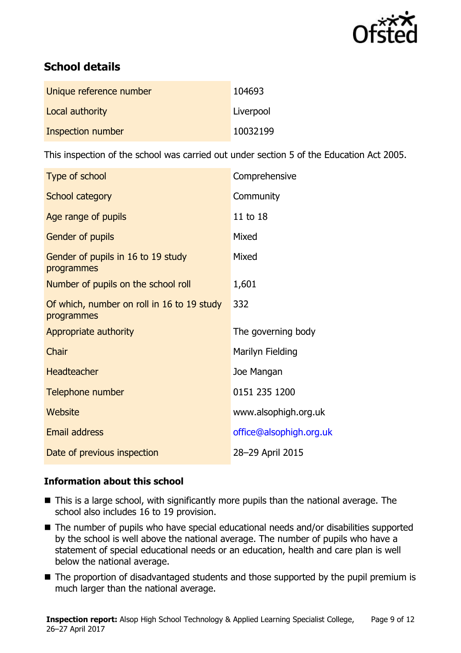

# **School details**

| Unique reference number  | 104693    |
|--------------------------|-----------|
| Local authority          | Liverpool |
| <b>Inspection number</b> | 10032199  |

This inspection of the school was carried out under section 5 of the Education Act 2005.

| Type of school                                           | Comprehensive           |
|----------------------------------------------------------|-------------------------|
| School category                                          | Community               |
| Age range of pupils                                      | 11 to 18                |
| <b>Gender of pupils</b>                                  | Mixed                   |
| Gender of pupils in 16 to 19 study<br>programmes         | Mixed                   |
| Number of pupils on the school roll                      | 1,601                   |
| Of which, number on roll in 16 to 19 study<br>programmes | 332                     |
| Appropriate authority                                    | The governing body      |
| <b>Chair</b>                                             | Marilyn Fielding        |
| <b>Headteacher</b>                                       | Joe Mangan              |
| Telephone number                                         | 0151 235 1200           |
| Website                                                  | www.alsophigh.org.uk    |
| <b>Email address</b>                                     | office@alsophigh.org.uk |
| Date of previous inspection                              | 28-29 April 2015        |

### **Information about this school**

- This is a large school, with significantly more pupils than the national average. The school also includes 16 to 19 provision.
- The number of pupils who have special educational needs and/or disabilities supported by the school is well above the national average. The number of pupils who have a statement of special educational needs or an education, health and care plan is well below the national average.
- The proportion of disadvantaged students and those supported by the pupil premium is much larger than the national average.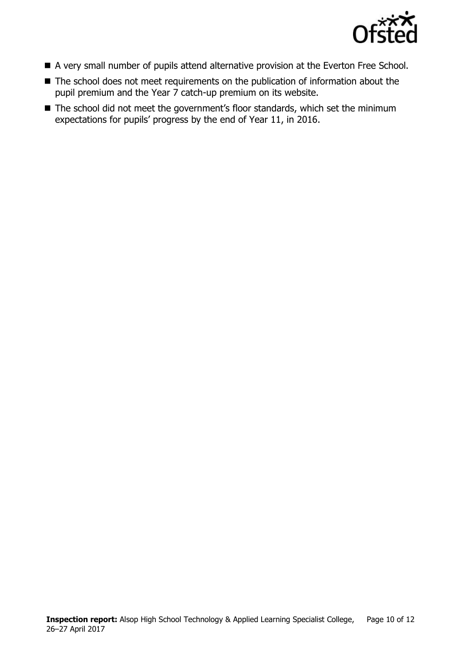

- A very small number of pupils attend alternative provision at the Everton Free School.
- The school does not meet requirements on the publication of information about the pupil premium and the Year 7 catch-up premium on its website.
- The school did not meet the government's floor standards, which set the minimum expectations for pupils' progress by the end of Year 11, in 2016.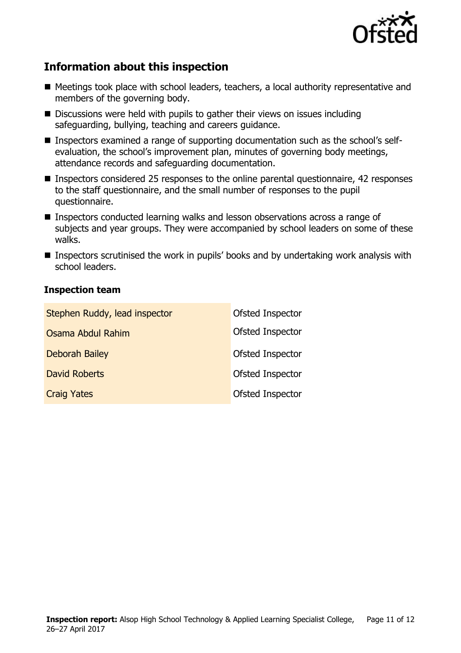

# **Information about this inspection**

- Meetings took place with school leaders, teachers, a local authority representative and members of the governing body.
- Discussions were held with pupils to gather their views on issues including safeguarding, bullying, teaching and careers guidance.
- Inspectors examined a range of supporting documentation such as the school's selfevaluation, the school's improvement plan, minutes of governing body meetings, attendance records and safeguarding documentation.
- Inspectors considered 25 responses to the online parental questionnaire, 42 responses to the staff questionnaire, and the small number of responses to the pupil questionnaire.
- Inspectors conducted learning walks and lesson observations across a range of subjects and year groups. They were accompanied by school leaders on some of these walks.
- Inspectors scrutinised the work in pupils' books and by undertaking work analysis with school leaders.

#### **Inspection team**

| Stephen Ruddy, lead inspector | Ofsted Inspector |
|-------------------------------|------------------|
| Osama Abdul Rahim             | Ofsted Inspector |
| <b>Deborah Bailey</b>         | Ofsted Inspector |
| <b>David Roberts</b>          | Ofsted Inspector |
| <b>Craig Yates</b>            | Ofsted Inspector |